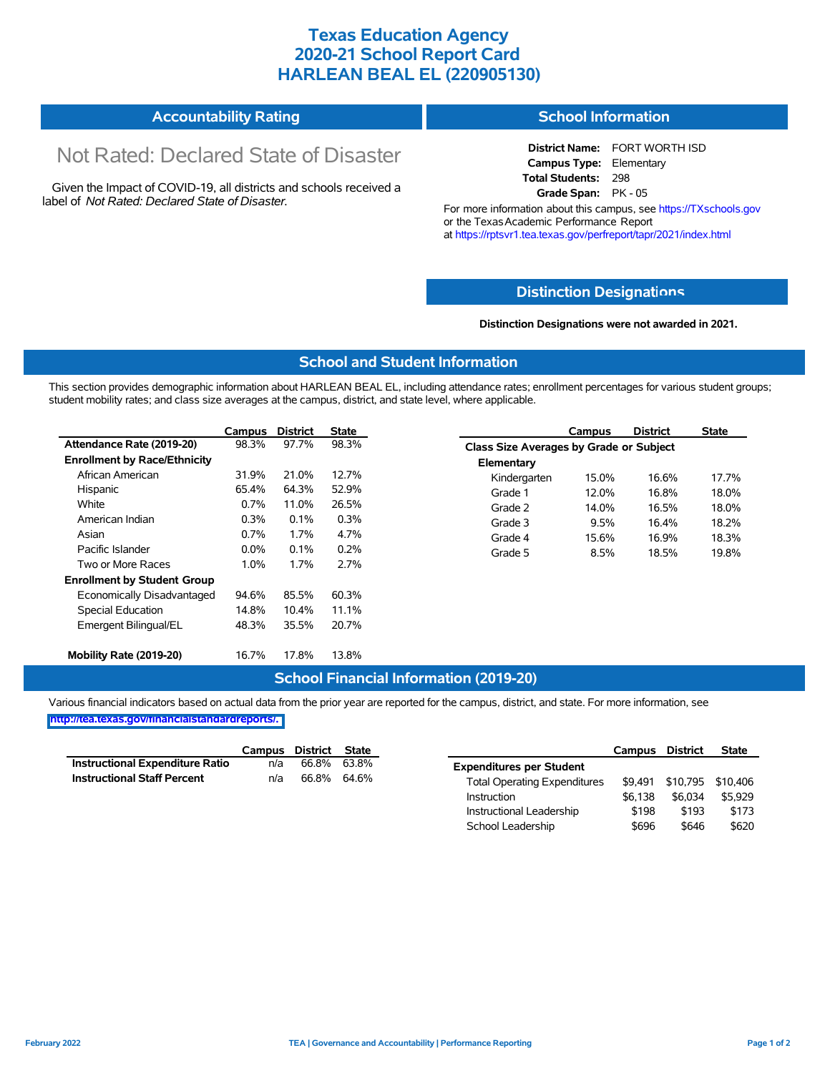## **Texas Education Agency 2020-21 School Report Card HARLEAN BEAL EL (220905130)**

| <b>Accountability Rating</b> | <b>School Information</b> |
|------------------------------|---------------------------|
|------------------------------|---------------------------|

# Not Rated: Declared State of Disaster

Given the Impact of COVID-19, all districts and schools received a label of *Not Rated: Declared State of Disaster.*

**District Name:** FORT WORTH ISD **Campus Type:** Elementary **Total Students:** 298 **Grade Span:** PK - 05

For more information about this campus, see https://TXschools.gov or the Texas Academic Performance Report at https://rptsvr1.tea.texas.gov/perfreport/tapr/2021/index.html

### **Distinction Designat[ions](https://TXschools.gov)**

**Distinction Designations were not awarded in 2021.**

School Leadership  $$696$  \$646 \$620

#### **School and Student Information**

This section provides demographic information about HARLEAN BEAL EL, including attendance rates; enrollment percentages for various student groups; student mobility rates; and class size averages at the campus, district, and state level, where applicable.

|                                     | Campus                                  | <b>District</b> | <b>State</b> | Campus           | <b>District</b>                         | <b>State</b> |  |  |  |
|-------------------------------------|-----------------------------------------|-----------------|--------------|------------------|-----------------------------------------|--------------|--|--|--|
| Attendance Rate (2019-20)           | 98.3%                                   | 97.7%           | 98.3%        |                  | Class Size Averages by Grade or Subject |              |  |  |  |
| <b>Enrollment by Race/Ethnicity</b> |                                         |                 |              | Elementary       |                                         |              |  |  |  |
| African American                    | 31.9%<br>21.0%<br>12.7%<br>Kindergarten | 15.0%           | 16.6%        | 17.7%            |                                         |              |  |  |  |
| Hispanic                            | 65.4%                                   | 64.3%           | 52.9%        | 12.0%<br>Grade 1 | 16.8%                                   | 18.0%        |  |  |  |
| White                               | 0.7%                                    | 11.0%           | 26.5%        | 14.0%<br>Grade 2 | 16.5%                                   | 18.0%        |  |  |  |
| American Indian                     | 0.3%                                    | 0.1%            | 0.3%         | Grade 3<br>9.5%  | 16.4%                                   | 18.2%        |  |  |  |
| Asian                               | 0.7%                                    | 1.7%            | 4.7%         | 15.6%<br>Grade 4 | 16.9%                                   | 18.3%        |  |  |  |
| Pacific Islander                    | $0.0\%$                                 | 0.1%            | 0.2%         | Grade 5<br>8.5%  | 18.5%                                   | 19.8%        |  |  |  |
| Two or More Races                   | 1.0%                                    | 1.7%            | 2.7%         |                  |                                         |              |  |  |  |
| <b>Enrollment by Student Group</b>  |                                         |                 |              |                  |                                         |              |  |  |  |
| Economically Disadvantaged          | 94.6%                                   | 85.5%           | 60.3%        |                  |                                         |              |  |  |  |
| Special Education                   | 14.8%                                   | 10.4%           | 11.1%        |                  |                                         |              |  |  |  |
| Emergent Bilingual/EL               | 48.3%                                   | 35.5%           | 20.7%        |                  |                                         |              |  |  |  |
|                                     |                                         |                 |              |                  |                                         |              |  |  |  |
| Mobility Rate (2019-20)             | 16.7%                                   | 17.8%           | 13.8%        |                  |                                         |              |  |  |  |

#### **School Financial Information (2019-20)**

Various financial indicators based on actual data from the prior year are reported for the campus, district, and state. For more information, see

**[http://tea.texas.gov/financialstandardreports/.](http://tea.texas.gov/financialstandardreports/)**

|                                        | Campus | District | State |                                     | Campus  | <b>District</b>           | <b>State</b> |
|----------------------------------------|--------|----------|-------|-------------------------------------|---------|---------------------------|--------------|
| <b>Instructional Expenditure Ratio</b> | n/a    | 66.8%    | 63.8% | <b>Expenditures per Student</b>     |         |                           |              |
| <b>Instructional Staff Percent</b>     | n/a    | 66.8%    | 64.6% | <b>Total Operating Expenditures</b> |         | \$9,491 \$10,795 \$10,406 |              |
|                                        |        |          |       | Instruction                         | \$6.138 | \$6.034                   | \$5.929      |
|                                        |        |          |       | Instructional Leadership            | \$198   | \$193                     | \$173        |